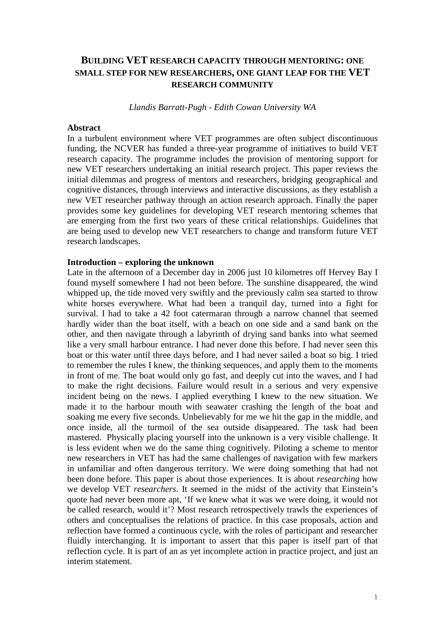# **BUILDING VET RESEARCH CAPACITY THROUGH MENTORING: ONE SMALL STEP FOR NEW RESEARCHERS, ONE GIANT LEAP FOR THE VET RESEARCH COMMUNITY**

*Llandis Barratt-Pugh - Edith Cowan University WA* 

### **Abstract**

In a turbulent environment where VET programmes are often subject discontinuous funding, the NCVER has funded a three-year programme of initiatives to build VET research capacity. The programme includes the provision of mentoring support for new VET researchers undertaking an initial research project. This paper reviews the initial dilemmas and progress of mentors and researchers, bridging geographical and cognitive distances, through interviews and interactive discussions, as they establish a new VET researcher pathway through an action research approach. Finally the paper provides some key guidelines for developing VET research mentoring schemes that are emerging from the first two years of these critical relationships. Guidelines that are being used to develop new VET researchers to change and transform future VET research landscapes.

#### **Introduction – exploring the unknown**

Late in the afternoon of a December day in 2006 just 10 kilometres off Hervey Bay I found myself somewhere I had not been before. The sunshine disappeared, the wind whipped up, the tide moved very swiftly and the previously calm sea started to throw white horses everywhere. What had been a tranquil day, turned into a fight for survival. I had to take a 42 foot catermaran through a narrow channel that seemed hardly wider than the boat itself, with a beach on one side and a sand bank on the other, and then navigate through a labyrinth of drying sand banks into what seemed like a very small harbour entrance. I had never done this before. I had never seen this boat or this water until three days before, and I had never sailed a boat so big. I tried to remember the rules I knew, the thinking sequences, and apply them to the moments in front of me. The boat would only go fast, and deeply cut into the waves, and I had to make the right decisions. Failure would result in a serious and very expensive incident being on the news. I applied everything I knew to the new situation. We made it to the harbour mouth with seawater crashing the length of the boat and soaking me every five seconds. Unbelievably for me we hit the gap in the middle, and once inside, all the turmoil of the sea outside disappeared. The task had been mastered. Physically placing yourself into the unknown is a very visible challenge. It is less evident when we do the same thing cognitively. Piloting a scheme to mentor new researchers in VET has had the same challenges of navigation with few markers in unfamiliar and often dangerous territory. We were doing something that had not been done before. This paper is about those experiences. It is about *researching* how we develop VET *researchers*. It seemed in the midst of the activity that Einstein's quote had never been more apt, 'If we knew what it was we were doing, it would not be called research, would it'? Most research retrospectively trawls the experiences of others and conceptualises the relations of practice. In this case proposals, action and reflection have formed a continuous cycle, with the roles of participant and researcher fluidly interchanging. It is important to assert that this paper is itself part of that reflection cycle. It is part of an as yet incomplete action in practice project, and just an interim statement.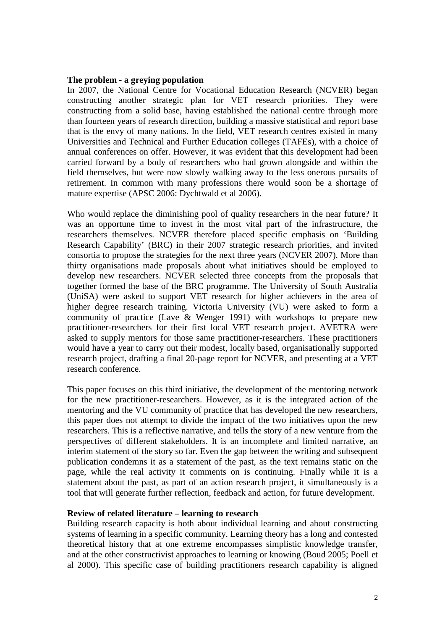### **The problem - a greying population**

In 2007, the National Centre for Vocational Education Research (NCVER) began constructing another strategic plan for VET research priorities. They were constructing from a solid base, having established the national centre through more than fourteen years of research direction, building a massive statistical and report base that is the envy of many nations. In the field, VET research centres existed in many Universities and Technical and Further Education colleges (TAFEs), with a choice of annual conferences on offer. However, it was evident that this development had been carried forward by a body of researchers who had grown alongside and within the field themselves, but were now slowly walking away to the less onerous pursuits of retirement. In common with many professions there would soon be a shortage of mature expertise (APSC 2006: Dychtwald et al 2006).

Who would replace the diminishing pool of quality researchers in the near future? It was an opportune time to invest in the most vital part of the infrastructure, the researchers themselves. NCVER therefore placed specific emphasis on 'Building Research Capability' (BRC) in their 2007 strategic research priorities, and invited consortia to propose the strategies for the next three years (NCVER 2007). More than thirty organisations made proposals about what initiatives should be employed to develop new researchers. NCVER selected three concepts from the proposals that together formed the base of the BRC programme. The University of South Australia (UniSA) were asked to support VET research for higher achievers in the area of higher degree research training. Victoria University (VU) were asked to form a community of practice (Lave & Wenger 1991) with workshops to prepare new practitioner-researchers for their first local VET research project. AVETRA were asked to supply mentors for those same practitioner-researchers. These practitioners would have a year to carry out their modest, locally based, organisationally supported research project, drafting a final 20-page report for NCVER, and presenting at a VET research conference.

This paper focuses on this third initiative, the development of the mentoring network for the new practitioner-researchers. However, as it is the integrated action of the mentoring and the VU community of practice that has developed the new researchers, this paper does not attempt to divide the impact of the two initiatives upon the new researchers. This is a reflective narrative, and tells the story of a new venture from the perspectives of different stakeholders. It is an incomplete and limited narrative, an interim statement of the story so far. Even the gap between the writing and subsequent publication condemns it as a statement of the past, as the text remains static on the page, while the real activity it comments on is continuing. Finally while it is a statement about the past, as part of an action research project, it simultaneously is a tool that will generate further reflection, feedback and action, for future development.

### **Review of related literature – learning to research**

Building research capacity is both about individual learning and about constructing systems of learning in a specific community. Learning theory has a long and contested theoretical history that at one extreme encompasses simplistic knowledge transfer, and at the other constructivist approaches to learning or knowing (Boud 2005; Poell et al 2000). This specific case of building practitioners research capability is aligned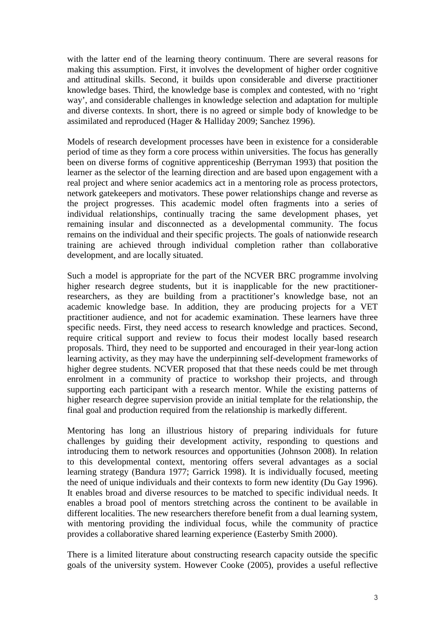with the latter end of the learning theory continuum. There are several reasons for making this assumption. First, it involves the development of higher order cognitive and attitudinal skills. Second, it builds upon considerable and diverse practitioner knowledge bases. Third, the knowledge base is complex and contested, with no 'right way', and considerable challenges in knowledge selection and adaptation for multiple and diverse contexts. In short, there is no agreed or simple body of knowledge to be assimilated and reproduced (Hager & Halliday 2009; Sanchez 1996).

Models of research development processes have been in existence for a considerable period of time as they form a core process within universities. The focus has generally been on diverse forms of cognitive apprenticeship (Berryman 1993) that position the learner as the selector of the learning direction and are based upon engagement with a real project and where senior academics act in a mentoring role as process protectors, network gatekeepers and motivators. These power relationships change and reverse as the project progresses. This academic model often fragments into a series of individual relationships, continually tracing the same development phases, yet remaining insular and disconnected as a developmental community. The focus remains on the individual and their specific projects. The goals of nationwide research training are achieved through individual completion rather than collaborative development, and are locally situated.

Such a model is appropriate for the part of the NCVER BRC programme involving higher research degree students, but it is inapplicable for the new practitionerresearchers, as they are building from a practitioner's knowledge base, not an academic knowledge base. In addition, they are producing projects for a VET practitioner audience, and not for academic examination. These learners have three specific needs. First, they need access to research knowledge and practices. Second, require critical support and review to focus their modest locally based research proposals. Third, they need to be supported and encouraged in their year-long action learning activity, as they may have the underpinning self-development frameworks of higher degree students. NCVER proposed that that these needs could be met through enrolment in a community of practice to workshop their projects, and through supporting each participant with a research mentor. While the existing patterns of higher research degree supervision provide an initial template for the relationship, the final goal and production required from the relationship is markedly different.

Mentoring has long an illustrious history of preparing individuals for future challenges by guiding their development activity, responding to questions and introducing them to network resources and opportunities (Johnson 2008). In relation to this developmental context, mentoring offers several advantages as a social learning strategy (Bandura 1977; Garrick 1998). It is individually focused, meeting the need of unique individuals and their contexts to form new identity (Du Gay 1996). It enables broad and diverse resources to be matched to specific individual needs. It enables a broad pool of mentors stretching across the continent to be available in different localities. The new researchers therefore benefit from a dual learning system, with mentoring providing the individual focus, while the community of practice provides a collaborative shared learning experience (Easterby Smith 2000).

There is a limited literature about constructing research capacity outside the specific goals of the university system. However Cooke (2005), provides a useful reflective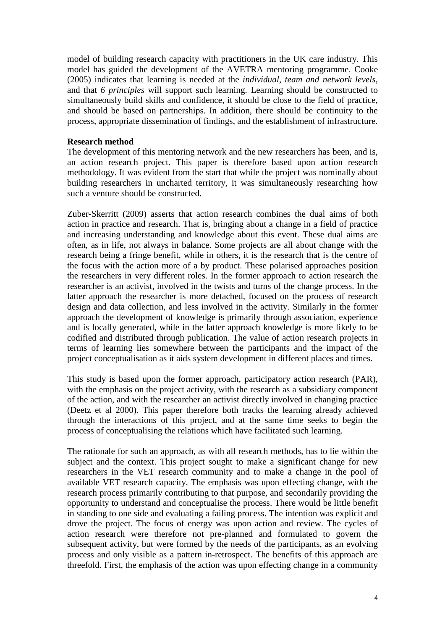model of building research capacity with practitioners in the UK care industry. This model has guided the development of the AVETRA mentoring programme. Cooke (2005) indicates that learning is needed at the *individual, team and network levels*, and that *6 principles* will support such learning. Learning should be constructed to simultaneously build skills and confidence, it should be close to the field of practice, and should be based on partnerships. In addition, there should be continuity to the process, appropriate dissemination of findings, and the establishment of infrastructure.

### **Research method**

The development of this mentoring network and the new researchers has been, and is, an action research project. This paper is therefore based upon action research methodology. It was evident from the start that while the project was nominally about building researchers in uncharted territory, it was simultaneously researching how such a venture should be constructed.

Zuber-Skerritt (2009) asserts that action research combines the dual aims of both action in practice and research. That is, bringing about a change in a field of practice and increasing understanding and knowledge about this event. These dual aims are often, as in life, not always in balance. Some projects are all about change with the research being a fringe benefit, while in others, it is the research that is the centre of the focus with the action more of a by product. These polarised approaches position the researchers in very different roles. In the former approach to action research the researcher is an activist, involved in the twists and turns of the change process. In the latter approach the researcher is more detached, focused on the process of research design and data collection, and less involved in the activity. Similarly in the former approach the development of knowledge is primarily through association, experience and is locally generated, while in the latter approach knowledge is more likely to be codified and distributed through publication. The value of action research projects in terms of learning lies somewhere between the participants and the impact of the project conceptualisation as it aids system development in different places and times.

This study is based upon the former approach, participatory action research (PAR), with the emphasis on the project activity, with the research as a subsidiary component of the action, and with the researcher an activist directly involved in changing practice (Deetz et al 2000). This paper therefore both tracks the learning already achieved through the interactions of this project, and at the same time seeks to begin the process of conceptualising the relations which have facilitated such learning.

The rationale for such an approach, as with all research methods, has to lie within the subject and the context. This project sought to make a significant change for new researchers in the VET research community and to make a change in the pool of available VET research capacity. The emphasis was upon effecting change, with the research process primarily contributing to that purpose, and secondarily providing the opportunity to understand and conceptualise the process. There would be little benefit in standing to one side and evaluating a failing process. The intention was explicit and drove the project. The focus of energy was upon action and review. The cycles of action research were therefore not pre-planned and formulated to govern the subsequent activity, but were formed by the needs of the participants, as an evolving process and only visible as a pattern in-retrospect. The benefits of this approach are threefold. First, the emphasis of the action was upon effecting change in a community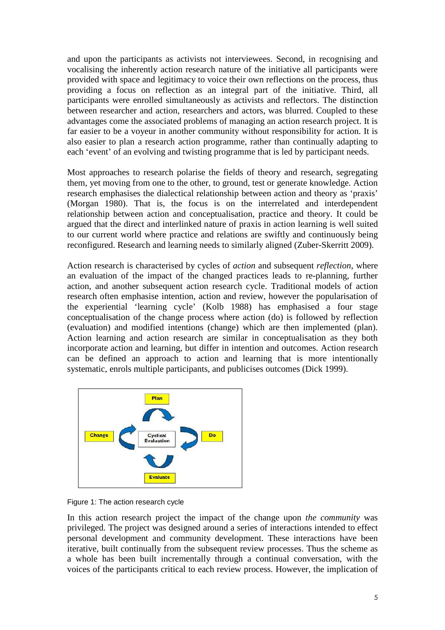and upon the participants as activists not interviewees. Second, in recognising and vocalising the inherently action research nature of the initiative all participants were provided with space and legitimacy to voice their own reflections on the process, thus providing a focus on reflection as an integral part of the initiative. Third, all participants were enrolled simultaneously as activists and reflectors. The distinction between researcher and action, researchers and actors, was blurred. Coupled to these advantages come the associated problems of managing an action research project. It is far easier to be a voyeur in another community without responsibility for action. It is also easier to plan a research action programme, rather than continually adapting to each 'event' of an evolving and twisting programme that is led by participant needs.

Most approaches to research polarise the fields of theory and research, segregating them, yet moving from one to the other, to ground, test or generate knowledge. Action research emphasises the dialectical relationship between action and theory as 'praxis' (Morgan 1980). That is, the focus is on the interrelated and interdependent relationship between action and conceptualisation, practice and theory. It could be argued that the direct and interlinked nature of praxis in action learning is well suited to our current world where practice and relations are swiftly and continuously being reconfigured. Research and learning needs to similarly aligned (Zuber-Skerritt 2009).

Action research is characterised by cycles of *action* and subsequent *reflection*, where an evaluation of the impact of the changed practices leads to re-planning, further action, and another subsequent action research cycle. Traditional models of action research often emphasise intention, action and review, however the popularisation of the experiential 'learning cycle' (Kolb 1988) has emphasised a four stage conceptualisation of the change process where action (do) is followed by reflection (evaluation) and modified intentions (change) which are then implemented (plan). Action learning and action research are similar in conceptualisation as they both incorporate action and learning, but differ in intention and outcomes. Action research can be defined an approach to action and learning that is more intentionally systematic, enrols multiple participants, and publicises outcomes (Dick 1999).



Figure 1: The action research cycle

In this action research project the impact of the change upon *the community* was privileged. The project was designed around a series of interactions intended to effect personal development and community development. These interactions have been iterative, built continually from the subsequent review processes. Thus the scheme as a whole has been built incrementally through a continual conversation, with the voices of the participants critical to each review process. However, the implication of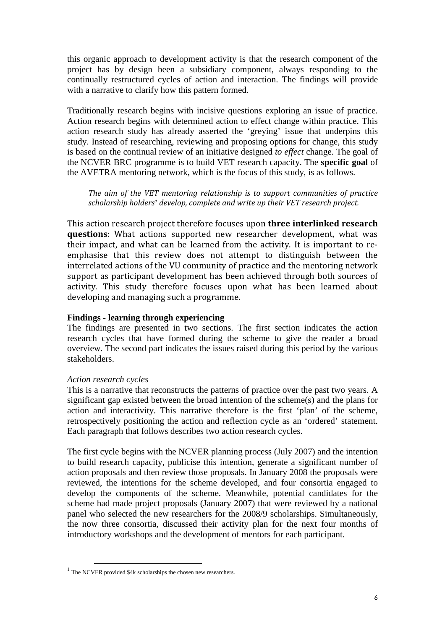this organic approach to development activity is that the research component of the project has by design been a subsidiary component, always responding to the continually restructured cycles of action and interaction. The findings will provide with a narrative to clarify how this pattern formed.

Traditionally research begins with incisive questions exploring an issue of practice. Action research begins with determined action to effect change within practice. This action research study has already asserted the 'greying' issue that underpins this study. Instead of researching, reviewing and proposing options for change, this study is based on the continual review of an initiative designed *to effect* change. The goal of the NCVER BRC programme is to build VET research capacity. The **specific goal** of the AVETRA mentoring network, which is the focus of this study, is as follows.

The aim of the VET mentoring relationship is to support communities of practice scholarship holders<sup>1</sup> develop, complete and write up their VET research project.

This action research project therefore focuses upon three interlinked research questions: What actions supported new researcher development, what was their impact, and what can be learned from the activity. It is important to reemphasise that this review does not attempt to distinguish between the interrelated actions of the VU community of practice and the mentoring network support as participant development has been achieved through both sources of activity. This study therefore focuses upon what has been learned about developing and managing such a programme.

### **Findings - learning through experiencing**

The findings are presented in two sections. The first section indicates the action research cycles that have formed during the scheme to give the reader a broad overview. The second part indicates the issues raised during this period by the various stakeholders.

## *Action research cycles*

 $\overline{a}$ 

This is a narrative that reconstructs the patterns of practice over the past two years. A significant gap existed between the broad intention of the scheme(s) and the plans for action and interactivity. This narrative therefore is the first 'plan' of the scheme, retrospectively positioning the action and reflection cycle as an 'ordered' statement. Each paragraph that follows describes two action research cycles.

The first cycle begins with the NCVER planning process (July 2007) and the intention to build research capacity, publicise this intention, generate a significant number of action proposals and then review those proposals. In January 2008 the proposals were reviewed, the intentions for the scheme developed, and four consortia engaged to develop the components of the scheme. Meanwhile, potential candidates for the scheme had made project proposals (January 2007) that were reviewed by a national panel who selected the new researchers for the 2008/9 scholarships. Simultaneously, the now three consortia, discussed their activity plan for the next four months of introductory workshops and the development of mentors for each participant.

<sup>1</sup> The NCVER provided \$4k scholarships the chosen new researchers.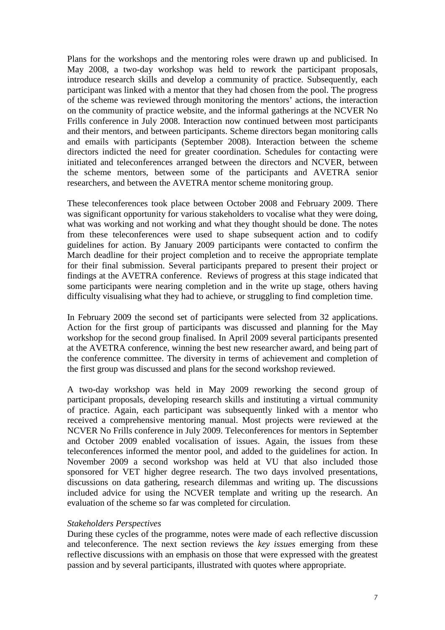Plans for the workshops and the mentoring roles were drawn up and publicised. In May 2008, a two-day workshop was held to rework the participant proposals, introduce research skills and develop a community of practice. Subsequently, each participant was linked with a mentor that they had chosen from the pool. The progress of the scheme was reviewed through monitoring the mentors' actions, the interaction on the community of practice website, and the informal gatherings at the NCVER No Frills conference in July 2008. Interaction now continued between most participants and their mentors, and between participants. Scheme directors began monitoring calls and emails with participants (September 2008). Interaction between the scheme directors indicted the need for greater coordination. Schedules for contacting were initiated and teleconferences arranged between the directors and NCVER, between the scheme mentors, between some of the participants and AVETRA senior researchers, and between the AVETRA mentor scheme monitoring group.

These teleconferences took place between October 2008 and February 2009. There was significant opportunity for various stakeholders to vocalise what they were doing, what was working and not working and what they thought should be done. The notes from these teleconferences were used to shape subsequent action and to codify guidelines for action. By January 2009 participants were contacted to confirm the March deadline for their project completion and to receive the appropriate template for their final submission. Several participants prepared to present their project or findings at the AVETRA conference. Reviews of progress at this stage indicated that some participants were nearing completion and in the write up stage, others having difficulty visualising what they had to achieve, or struggling to find completion time.

In February 2009 the second set of participants were selected from 32 applications. Action for the first group of participants was discussed and planning for the May workshop for the second group finalised. In April 2009 several participants presented at the AVETRA conference, winning the best new researcher award, and being part of the conference committee. The diversity in terms of achievement and completion of the first group was discussed and plans for the second workshop reviewed.

A two-day workshop was held in May 2009 reworking the second group of participant proposals, developing research skills and instituting a virtual community of practice. Again, each participant was subsequently linked with a mentor who received a comprehensive mentoring manual. Most projects were reviewed at the NCVER No Frills conference in July 2009. Teleconferences for mentors in September and October 2009 enabled vocalisation of issues. Again, the issues from these teleconferences informed the mentor pool, and added to the guidelines for action. In November 2009 a second workshop was held at VU that also included those sponsored for VET higher degree research. The two days involved presentations, discussions on data gathering, research dilemmas and writing up. The discussions included advice for using the NCVER template and writing up the research. An evaluation of the scheme so far was completed for circulation.

### *Stakeholders Perspectives*

During these cycles of the programme, notes were made of each reflective discussion and teleconference. The next section reviews the *key issues* emerging from these reflective discussions with an emphasis on those that were expressed with the greatest passion and by several participants, illustrated with quotes where appropriate.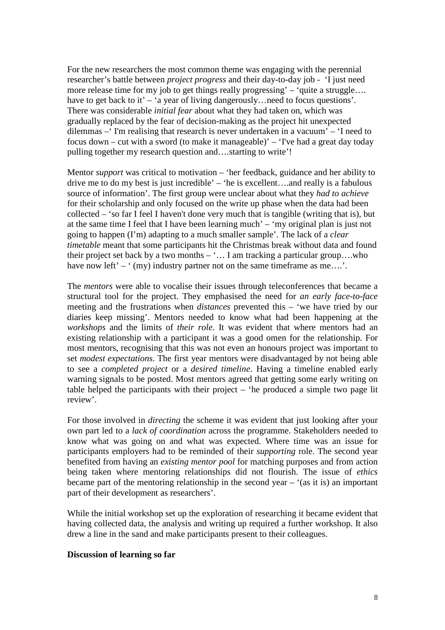For the new researchers the most common theme was engaging with the perennial researcher's battle between *project progress* and their day-to-day job - 'I just need more release time for my job to get things really progressing' – 'quite a struggle.... have to get back to it' – 'a year of living dangerously... need to focus questions'. There was considerable *initial fear* about what they had taken on, which was gradually replaced by the fear of decision-making as the project hit unexpected dilemmas –' I'm realising that research is never undertaken in a vacuum' – 'I need to focus down – cut with a sword (to make it manageable)' – 'I've had a great day today pulling together my research question and….starting to write'!

Mentor *support* was critical to motivation – 'her feedback, guidance and her ability to drive me to do my best is just incredible' – 'he is excellent….and really is a fabulous source of information'. The first group were unclear about what they *had to achieve* for their scholarship and only focused on the write up phase when the data had been collected – 'so far I feel I haven't done very much that is tangible (writing that is), but at the same time I feel that I have been learning much' – 'my original plan is just not going to happen (I'm) adapting to a much smaller sample'. The lack of a *clear timetable* meant that some participants hit the Christmas break without data and found their project set back by a two months – '… I am tracking a particular group….who have now left' –  $(my)$  industry partner not on the same timeframe as me....'.

The *mentors* were able to vocalise their issues through teleconferences that became a structural tool for the project. They emphasised the need for *an early face-to-face* meeting and the frustrations when *distances* prevented this – 'we have tried by our diaries keep missing'. Mentors needed to know what had been happening at the *workshops* and the limits of *their role*. It was evident that where mentors had an existing relationship with a participant it was a good omen for the relationship. For most mentors, recognising that this was not even an honours project was important to set *modest expectations*. The first year mentors were disadvantaged by not being able to see a *completed project* or a *desired timeline*. Having a timeline enabled early warning signals to be posted. Most mentors agreed that getting some early writing on table helped the participants with their project – 'he produced a simple two page lit review'.

For those involved in *directing* the scheme it was evident that just looking after your own part led to a *lack of coordination* across the programme. Stakeholders needed to know what was going on and what was expected. Where time was an issue for participants employers had to be reminded of their *supporting* role. The second year benefited from having an *existing mentor pool* for matching purposes and from action being taken where mentoring relationships did not flourish. The issue of *ethics*  became part of the mentoring relationship in the second year  $-$  '(as it is) an important part of their development as researchers'.

While the initial workshop set up the exploration of researching it became evident that having collected data, the analysis and writing up required a further workshop. It also drew a line in the sand and make participants present to their colleagues.

### **Discussion of learning so far**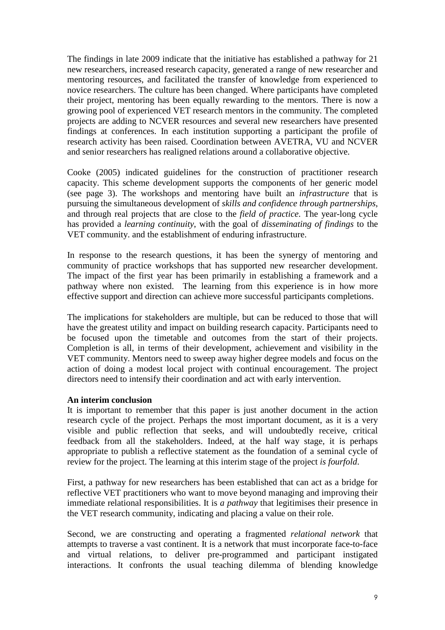The findings in late 2009 indicate that the initiative has established a pathway for 21 new researchers, increased research capacity, generated a range of new researcher and mentoring resources, and facilitated the transfer of knowledge from experienced to novice researchers. The culture has been changed. Where participants have completed their project, mentoring has been equally rewarding to the mentors. There is now a growing pool of experienced VET research mentors in the community. The completed projects are adding to NCVER resources and several new researchers have presented findings at conferences. In each institution supporting a participant the profile of research activity has been raised. Coordination between AVETRA, VU and NCVER and senior researchers has realigned relations around a collaborative objective.

Cooke (2005) indicated guidelines for the construction of practitioner research capacity. This scheme development supports the components of her generic model (see page 3). The workshops and mentoring have built an *infrastructure* that is pursuing the simultaneous development of *skills and confidence through partnerships*, and through real projects that are close to the *field of practice*. The year-long cycle has provided a *learning continuity*, with the goal of *disseminating of findings* to the VET community. and the establishment of enduring infrastructure.

In response to the research questions, it has been the synergy of mentoring and community of practice workshops that has supported new researcher development. The impact of the first year has been primarily in establishing a framework and a pathway where non existed. The learning from this experience is in how more effective support and direction can achieve more successful participants completions.

The implications for stakeholders are multiple, but can be reduced to those that will have the greatest utility and impact on building research capacity. Participants need to be focused upon the timetable and outcomes from the start of their projects. Completion is all, in terms of their development, achievement and visibility in the VET community. Mentors need to sweep away higher degree models and focus on the action of doing a modest local project with continual encouragement. The project directors need to intensify their coordination and act with early intervention.

### **An interim conclusion**

It is important to remember that this paper is just another document in the action research cycle of the project. Perhaps the most important document, as it is a very visible and public reflection that seeks, and will undoubtedly receive, critical feedback from all the stakeholders. Indeed, at the half way stage, it is perhaps appropriate to publish a reflective statement as the foundation of a seminal cycle of review for the project. The learning at this interim stage of the project *is fourfold*.

First, a pathway for new researchers has been established that can act as a bridge for reflective VET practitioners who want to move beyond managing and improving their immediate relational responsibilities. It is *a pathway* that legitimises their presence in the VET research community, indicating and placing a value on their role.

Second, we are constructing and operating a fragmented *relational network* that attempts to traverse a vast continent. It is a network that must incorporate face-to-face and virtual relations, to deliver pre-programmed and participant instigated interactions. It confronts the usual teaching dilemma of blending knowledge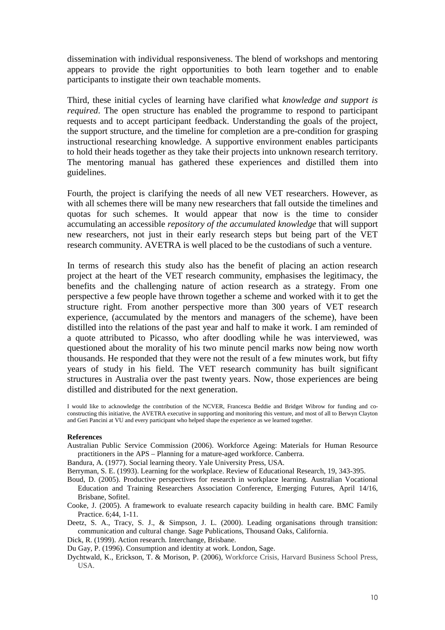dissemination with individual responsiveness. The blend of workshops and mentoring appears to provide the right opportunities to both learn together and to enable participants to instigate their own teachable moments.

Third, these initial cycles of learning have clarified what *knowledge and support is required*. The open structure has enabled the programme to respond to participant requests and to accept participant feedback. Understanding the goals of the project, the support structure, and the timeline for completion are a pre-condition for grasping instructional researching knowledge. A supportive environment enables participants to hold their heads together as they take their projects into unknown research territory. The mentoring manual has gathered these experiences and distilled them into guidelines.

Fourth, the project is clarifying the needs of all new VET researchers. However, as with all schemes there will be many new researchers that fall outside the timelines and quotas for such schemes. It would appear that now is the time to consider accumulating an accessible *repository of the accumulated knowledge* that will support new researchers, not just in their early research steps but being part of the VET research community. AVETRA is well placed to be the custodians of such a venture.

In terms of research this study also has the benefit of placing an action research project at the heart of the VET research community, emphasises the legitimacy, the benefits and the challenging nature of action research as a strategy. From one perspective a few people have thrown together a scheme and worked with it to get the structure right. From another perspective more than 300 years of VET research experience, (accumulated by the mentors and managers of the scheme), have been distilled into the relations of the past year and half to make it work. I am reminded of a quote attributed to Picasso, who after doodling while he was interviewed, was questioned about the morality of his two minute pencil marks now being now worth thousands. He responded that they were not the result of a few minutes work, but fifty years of study in his field. The VET research community has built significant structures in Australia over the past twenty years. Now, those experiences are being distilled and distributed for the next generation.

I would like to acknowledge the contribution of the NCVER, Francesca Beddie and Bridget Wibrow for funding and coconstructing this initiative, the AVETRA executive in supporting and monitoring this venture, and most of all to Berwyn Clayton and Geri Pancini at VU and every participant who helped shape the experience as we learned together.

#### **References**

Australian Public Service Commission (2006). Workforce Ageing: Materials for Human Resource practitioners in the APS – Planning for a mature-aged workforce. Canberra.

Bandura, A. (1977). Social learning theory. Yale University Press, USA.

Berryman, S. E. (1993). Learning for the workplace. Review of Educational Research, 19, 343-395.

- Boud, D. (2005). Productive perspectives for research in workplace learning. Australian Vocational Education and Training Researchers Association Conference, Emerging Futures, April 14/16, Brisbane, Sofitel.
- Cooke, J. (2005). A framework to evaluate research capacity building in health care. BMC Family Practice. 6;44, 1-11.
- Deetz, S. A., Tracy, S. J., & Simpson, J. L. (2000). Leading organisations through transition: communication and cultural change. Sage Publications, Thousand Oaks, California.

Dick, R. (1999). Action research. Interchange, Brisbane.

Du Gay, P. (1996). Consumption and identity at work. London, Sage.

Dychtwald, K., Erickson, T. & Morison, P. (2006), Workforce Crisis, Harvard Business School Press, USA.